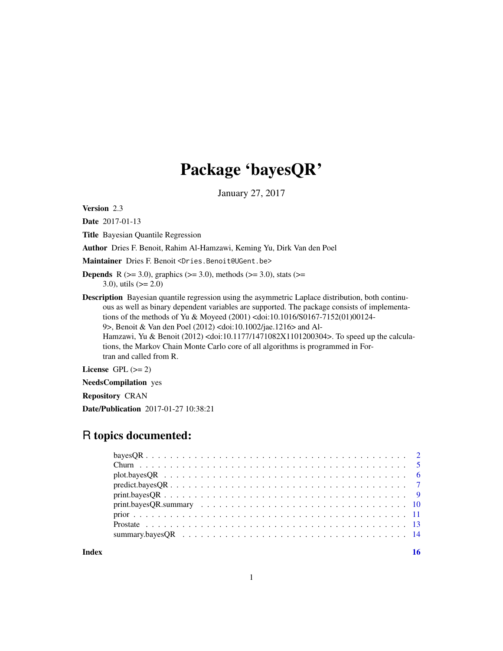## Package 'bayesQR'

January 27, 2017

Version 2.3

Date 2017-01-13

Title Bayesian Quantile Regression

Author Dries F. Benoit, Rahim Al-Hamzawi, Keming Yu, Dirk Van den Poel

Maintainer Dries F. Benoit <Dries.Benoit@UGent.be>

- **Depends** R ( $>= 3.0$ ), graphics ( $>= 3.0$ ), methods ( $>= 3.0$ ), stats ( $>= 1$ 3.0), utils  $(>= 2.0)$
- Description Bayesian quantile regression using the asymmetric Laplace distribution, both continuous as well as binary dependent variables are supported. The package consists of implementations of the methods of Yu & Moyeed (2001) <doi:10.1016/S0167-7152(01)00124- 9>, Benoit & Van den Poel (2012) <doi:10.1002/jae.1216> and Al-Hamzawi, Yu & Benoit (2012) <doi:10.1177/1471082X1101200304>. To speed up the calculations, the Markov Chain Monte Carlo core of all algorithms is programmed in Fortran and called from R.

License GPL  $(>= 2)$ 

NeedsCompilation yes

Repository CRAN

Date/Publication 2017-01-27 10:38:21

## R topics documented:

| $print.bayesQR \ldots \ldots \ldots \ldots \ldots \ldots \ldots \ldots \ldots \ldots \ldots \ldots$ |  |
|-----------------------------------------------------------------------------------------------------|--|
|                                                                                                     |  |
|                                                                                                     |  |
|                                                                                                     |  |
|                                                                                                     |  |
|                                                                                                     |  |

**Index** the contract of the contract of the contract of the contract of the contract of the contract of the contract of the contract of the contract of the contract of the contract of the contract of the contract of the co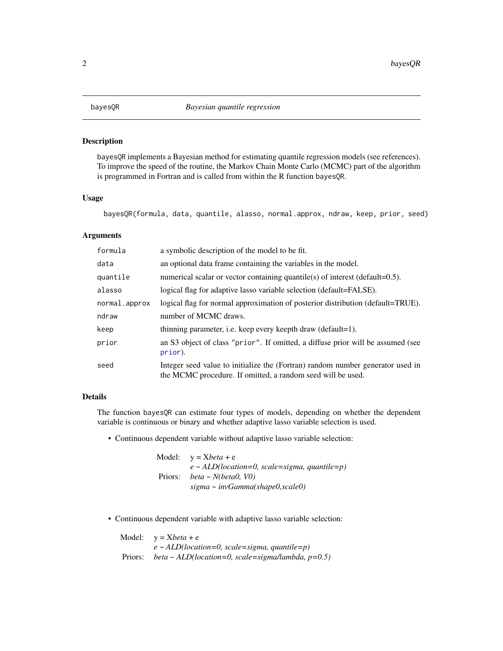<span id="page-1-0"></span>

bayesQR implements a Bayesian method for estimating quantile regression models (see references). To improve the speed of the routine, the Markov Chain Monte Carlo (MCMC) part of the algorithm is programmed in Fortran and is called from within the R function bayesQR.

## Usage

```
bayesQR(formula, data, quantile, alasso, normal.approx, ndraw, keep, prior, seed)
```
## Arguments

| formula       | a symbolic description of the model to be fit.                                                                                                |
|---------------|-----------------------------------------------------------------------------------------------------------------------------------------------|
| data          | an optional data frame containing the variables in the model.                                                                                 |
| quantile      | numerical scalar or vector containing quantile(s) of interest (default= $0.5$ ).                                                              |
| alasso        | logical flag for adaptive lasso variable selection (default=FALSE).                                                                           |
| normal.approx | logical flag for normal approximation of posterior distribution (default=TRUE).                                                               |
| ndraw         | number of MCMC draws.                                                                                                                         |
| keep          | thinning parameter, i.e. keep every keepth draw (default=1).                                                                                  |
| prior         | an S3 object of class "prior". If omitted, a diffuse prior will be assumed (see<br>prior).                                                    |
| seed          | Integer seed value to initialize the (Fortran) random number generator used in<br>the MCMC procedure. If omitted, a random seed will be used. |

#### Details

The function bayesQR can estimate four types of models, depending on whether the dependent variable is continuous or binary and whether adaptive lasso variable selection is used.

• Continuous dependent variable without adaptive lasso variable selection:

Model:  $y = Xbeta + e$ *e ~ ALD(location=0, scale=sigma, quantile=p)* Priors: *beta ~ N(beta0, V0) sigma ~ invGamma(shape0,scale0)*

• Continuous dependent variable with adaptive lasso variable selection:

|         | Model: $v = Xbeta + e$                               |
|---------|------------------------------------------------------|
|         | $e \sim ALD(location=0, scale=sigma, quantile=p)$    |
| Priors: | beta ~ ALD(location=0, scale=sigma/lambda, $p=0.5$ ) |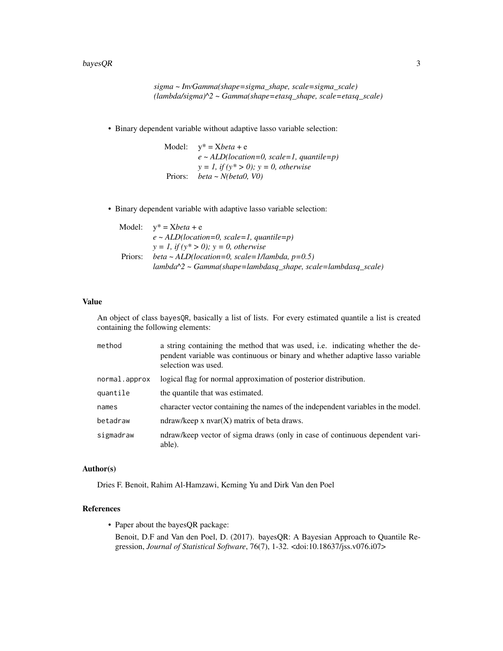#### $bayesQR$  3

```
sigma ~ InvGamma(shape=sigma_shape, scale=sigma_scale)
(lambda/sigma)^2 ~ Gamma(shape=etasq_shape, scale=etasq_scale)
```
• Binary dependent variable without adaptive lasso variable selection:

Model:  $y^* = Xbeta + e$ *e ~ ALD(location=0, scale=1, quantile=p) y = 1, if (y\* > 0); y = 0, otherwise* Priors: *beta ~ N(beta0, V0)*

• Binary dependent variable with adaptive lasso variable selection:

|         | Model: $v^* = Xbeta + e$                                            |
|---------|---------------------------------------------------------------------|
|         | $e \sim ALD(location=0, scale=1, quantile=p)$                       |
|         | $y = 1$ , if $(y^* > 0)$ ; $y = 0$ , otherwise                      |
| Priors: | beta ~ ALD(location=0, scale=1/lambda, $p=0.5$ )                    |
|         | $lambda^2$ $\sim$ Gamma(shape=lambdasq shape, scale=lambdasq scale) |

## Value

An object of class bayesQR, basically a list of lists. For every estimated quantile a list is created containing the following elements:

| method        | a string containing the method that was used, i.e. indicating whether the de-<br>pendent variable was continuous or binary and whether adaptive lasso variable<br>selection was used. |
|---------------|---------------------------------------------------------------------------------------------------------------------------------------------------------------------------------------|
| normal.approx | logical flag for normal approximation of posterior distribution.                                                                                                                      |
| quantile      | the quantile that was estimated.                                                                                                                                                      |
| names         | character vector containing the names of the independent variables in the model.                                                                                                      |
| betadraw      | ndraw/keep x $nvar(X)$ matrix of beta draws.                                                                                                                                          |
| sigmadraw     | ndraw/keep vector of sigma draws (only in case of continuous dependent vari-<br>able).                                                                                                |

#### Author(s)

Dries F. Benoit, Rahim Al-Hamzawi, Keming Yu and Dirk Van den Poel

## References

• Paper about the bayesQR package:

Benoit, D.F and Van den Poel, D. (2017). bayesQR: A Bayesian Approach to Quantile Regression, *Journal of Statistical Software*, 76(7), 1-32. <doi:10.18637/jss.v076.i07>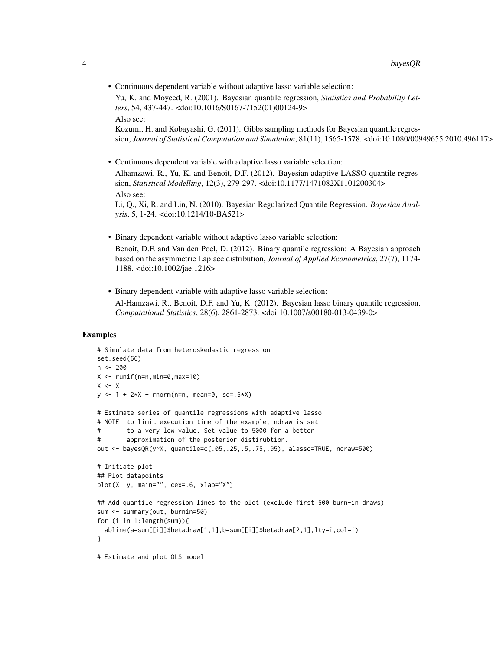• Continuous dependent variable without adaptive lasso variable selection:

Yu, K. and Moyeed, R. (2001). Bayesian quantile regression, *Statistics and Probability Letters*, 54, 437-447. <doi:10.1016/S0167-7152(01)00124-9> Also see:

Kozumi, H. and Kobayashi, G. (2011). Gibbs sampling methods for Bayesian quantile regression, *Journal of Statistical Computation and Simulation*, 81(11), 1565-1578. <doi:10.1080/00949655.2010.496117>

• Continuous dependent variable with adaptive lasso variable selection:

Alhamzawi, R., Yu, K. and Benoit, D.F. (2012). Bayesian adaptive LASSO quantile regression, *Statistical Modelling*, 12(3), 279-297. <doi:10.1177/1471082X1101200304> Also see:

Li, Q., Xi, R. and Lin, N. (2010). Bayesian Regularized Quantile Regression. *Bayesian Analysis*, 5, 1-24. <doi:10.1214/10-BA521>

- Binary dependent variable without adaptive lasso variable selection: Benoit, D.F. and Van den Poel, D. (2012). Binary quantile regression: A Bayesian approach based on the asymmetric Laplace distribution, *Journal of Applied Econometrics*, 27(7), 1174- 1188. <doi:10.1002/jae.1216>
- Binary dependent variable with adaptive lasso variable selection: Al-Hamzawi, R., Benoit, D.F. and Yu, K. (2012). Bayesian lasso binary quantile regression. *Computational Statistics*, 28(6), 2861-2873. <doi:10.1007/s00180-013-0439-0>

## Examples

```
# Simulate data from heteroskedastic regression
set.seed(66)
n < - 200X <- runif(n=n,min=0,max=10)
X \le -Xy \le -1 + 2 \times X + \text{norm}(n=n, \text{mean}=0, \text{sd}=0.6 \times X)# Estimate series of quantile regressions with adaptive lasso
# NOTE: to limit execution time of the example, ndraw is set
# to a very low value. Set value to 5000 for a better
# approximation of the posterior distirubtion.
out <- bayesQR(y~X, quantile=c(.05,.25,.5,.75,.95), alasso=TRUE, ndraw=500)
# Initiate plot
## Plot datapoints
plot(X, y, main="", cex=.6, xlab="X")
## Add quantile regression lines to the plot (exclude first 500 burn-in draws)
sum <- summary(out, burnin=50)
for (i in 1:length(sum)){
  abline(a=sum[[i]]$betadraw[1,1],b=sum[[i]]$betadraw[2,1],lty=i,col=i)
}
# Estimate and plot OLS model
```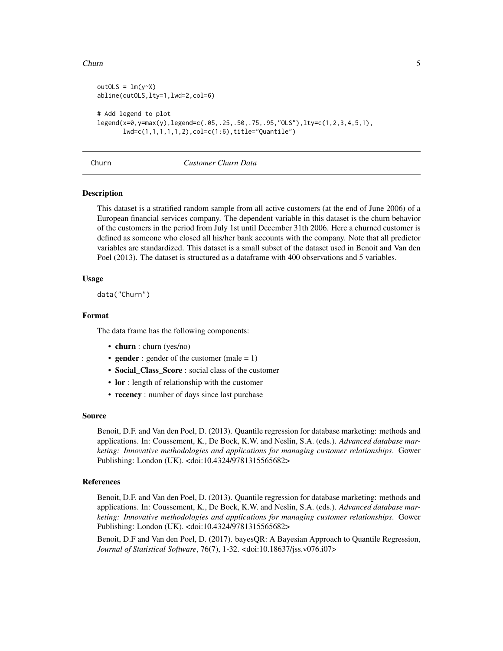#### <span id="page-4-0"></span>Churn 5

```
outOLS = lm(y~X)abline(outOLS,lty=1,lwd=2,col=6)
# Add legend to plot
legend(x=0,y=max(y),legend=c(.05,.25,.50,.75,.95,"OLS"),lty=c(1,2,3,4,5,1),
      lwd=c(1,1,1,1,1,2),col=c(1:6),title="Quantile")
```
## Churn *Customer Churn Data*

### Description

This dataset is a stratified random sample from all active customers (at the end of June 2006) of a European financial services company. The dependent variable in this dataset is the churn behavior of the customers in the period from July 1st until December 31th 2006. Here a churned customer is defined as someone who closed all his/her bank accounts with the company. Note that all predictor variables are standardized. This dataset is a small subset of the dataset used in Benoit and Van den Poel (2013). The dataset is structured as a dataframe with 400 observations and 5 variables.

#### Usage

data("Churn")

#### Format

The data frame has the following components:

- churn : churn (yes/no)
- gender : gender of the customer (male  $= 1$ )
- Social\_Class\_Score : social class of the customer
- lor : length of relationship with the customer
- recency : number of days since last purchase

#### Source

Benoit, D.F. and Van den Poel, D. (2013). Quantile regression for database marketing: methods and applications. In: Coussement, K., De Bock, K.W. and Neslin, S.A. (eds.). *Advanced database marketing: Innovative methodologies and applications for managing customer relationships*. Gower Publishing: London (UK). <doi:10.4324/9781315565682>

## References

Benoit, D.F. and Van den Poel, D. (2013). Quantile regression for database marketing: methods and applications. In: Coussement, K., De Bock, K.W. and Neslin, S.A. (eds.). *Advanced database marketing: Innovative methodologies and applications for managing customer relationships*. Gower Publishing: London (UK). <doi:10.4324/9781315565682>

Benoit, D.F and Van den Poel, D. (2017). bayesQR: A Bayesian Approach to Quantile Regression, *Journal of Statistical Software*, 76(7), 1-32. <doi:10.18637/jss.v076.i07>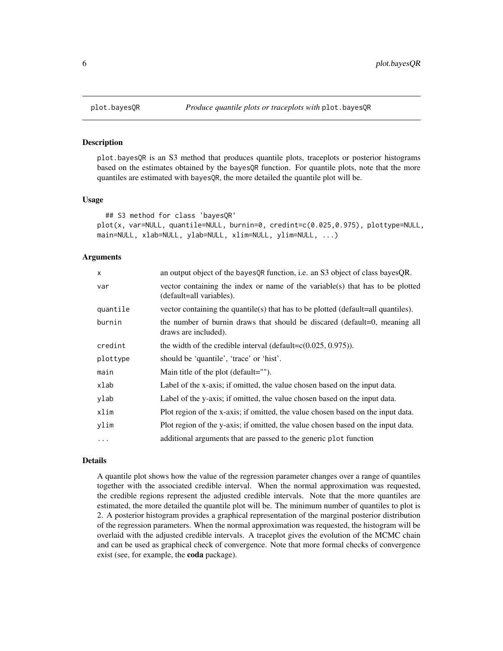plot.bayesQR is an S3 method that produces quantile plots, traceplots or posterior histograms based on the estimates obtained by the bayesQR function. For quantile plots, note that the more quantiles are estimated with bayesQR, the more detailed the quantile plot will be.

#### Usage

```
## S3 method for class 'bayesQR'
plot(x, var=NULL, quantile=NULL, burnin=0, credint=c(0.025,0.975), plottype=NULL,
main=NULL, xlab=NULL, ylab=NULL, xlim=NULL, ylim=NULL, ...)
```
#### Arguments

| X        | an output object of the bayes QR function, i.e. an S3 object of class bayes QR.                           |
|----------|-----------------------------------------------------------------------------------------------------------|
| var      | vector containing the index or name of the variable(s) that has to be plotted<br>(default=all variables). |
| quantile | vector containing the quantile(s) that has to be plotted (default=all quantiles).                         |
| burnin   | the number of burnin draws that should be discared (default=0, meaning all<br>draws are included).        |
| credint  | the width of the credible interval (default= $c(0.025, 0.975)$ ).                                         |
| plottype | should be 'quantile', 'trace' or 'hist'.                                                                  |
| main     | Main title of the plot (default="").                                                                      |
| xlab     | Label of the x-axis; if omitted, the value chosen based on the input data.                                |
| ylab     | Label of the y-axis; if omitted, the value chosen based on the input data.                                |
| xlim     | Plot region of the x-axis; if omitted, the value chosen based on the input data.                          |
| ylim     | Plot region of the y-axis; if omitted, the value chosen based on the input data.                          |
| $\cdots$ | additional arguments that are passed to the generic plot function                                         |

## Details

A quantile plot shows how the value of the regression parameter changes over a range of quantiles together with the associated credible interval. When the normal approximation was requested, the credible regions represent the adjusted credible intervals. Note that the more quantiles are estimated, the more detailed the quantile plot will be. The minimum number of quantiles to plot is 2. A posterior histogram provides a graphical representation of the marginal posterior distribution of the regression parameters. When the normal approximation was requested, the histogram will be overlaid with the adjusted credible intervals. A traceplot gives the evolution of the MCMC chain and can be used as graphical check of convergence. Note that more formal checks of convergence exist (see, for example, the coda package).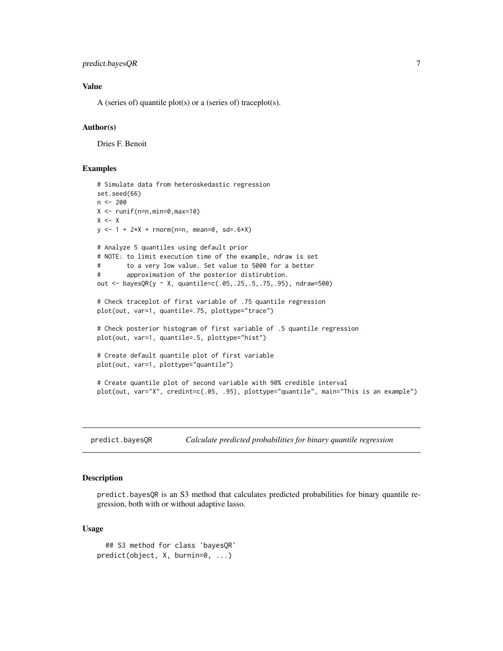## <span id="page-6-0"></span>predict.bayesQR 7

## Value

A (series of) quantile plot(s) or a (series of) traceplot(s).

#### Author(s)

Dries F. Benoit

#### Examples

```
# Simulate data from heteroskedastic regression
set.seed(66)
n < -200X \leftarrow runif(n=n,min=0,max=10)X \le - Xy \le -1 + 2 \times X + \text{norm}(n=n, \text{mean}=0, \text{sd}=0.6 \times X)# Analyze 5 quantiles using default prior
# NOTE: to limit execution time of the example, ndraw is set
# to a very low value. Set value to 5000 for a better
# approximation of the posterior distirubtion.
out <- bayesQR(y ~ X, quantile=c(.05,.25,.5,.75,.95), ndraw=500)
# Check traceplot of first variable of .75 quantile regression
plot(out, var=1, quantile=.75, plottype="trace")
# Check posterior histogram of first variable of .5 quantile regression
plot(out, var=1, quantile=.5, plottype="hist")
# Create default quantile plot of first variable
plot(out, var=1, plottype="quantile")
# Create quantile plot of second variable with 90% credible interval
plot(out, var="X", credint=c(.05, .95), plottype="quantile", main="This is an example")
```
predict.bayesQR *Calculate predicted probabilities for binary quantile regression*

#### Description

predict.bayesQR is an S3 method that calculates predicted probabilities for binary quantile regression, both with or without adaptive lasso.

#### Usage

```
## S3 method for class 'bayesQR'
predict(object, X, burnin=0, ...)
```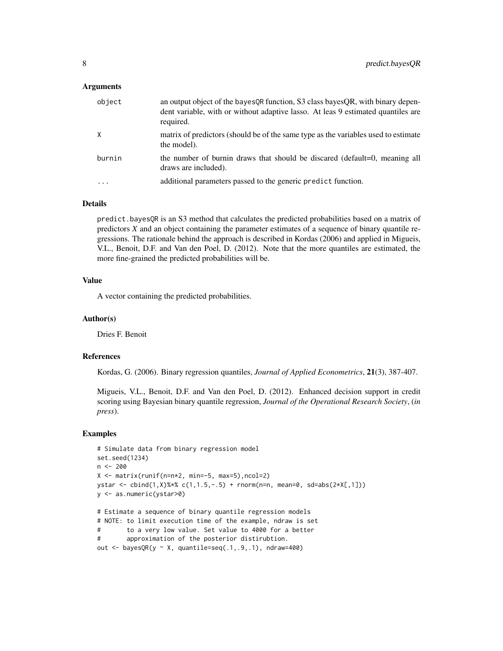#### Arguments

| object    | an output object of the bayes OR function, S3 class bayes OR, with binary depen-<br>dent variable, with or without adaptive lasso. At leas 9 estimated quantiles are<br>required. |
|-----------|-----------------------------------------------------------------------------------------------------------------------------------------------------------------------------------|
| X         | matrix of predictors (should be of the same type as the variables used to estimate<br>the model).                                                                                 |
| burnin    | the number of burnin draws that should be discared (default=0, meaning all<br>draws are included).                                                                                |
| $\ddotsc$ | additional parameters passed to the generic predict function.                                                                                                                     |

#### Details

predict.bayesQR is an S3 method that calculates the predicted probabilities based on a matrix of predictors *X* and an object containing the parameter estimates of a sequence of binary quantile regressions. The rationale behind the approach is described in Kordas (2006) and applied in Migueis, V.L., Benoit, D.F. and Van den Poel, D. (2012). Note that the more quantiles are estimated, the more fine-grained the predicted probabilities will be.

## Value

A vector containing the predicted probabilities.

#### Author(s)

Dries F. Benoit

### References

Kordas, G. (2006). Binary regression quantiles, *Journal of Applied Econometrics*, 21(3), 387-407.

Migueis, V.L., Benoit, D.F. and Van den Poel, D. (2012). Enhanced decision support in credit scoring using Bayesian binary quantile regression, *Journal of the Operational Research Society*, (*in press*).

#### Examples

```
# Simulate data from binary regression model
set.seed(1234)
n <- 200
X <- matrix(runif(n=n*2, min=-5, max=5),ncol=2)
ystar <- cbind(1,X)%*% c(1,1.5,-.5) + rnorm(n=n, mean=0, sd=abs(2*X[,1]))
y <- as.numeric(ystar>0)
# Estimate a sequence of binary quantile regression models
# NOTE: to limit execution time of the example, ndraw is set
# to a very low value. Set value to 4000 for a better
# approximation of the posterior distirubtion.
out \leq bayesQR(y \sim X, quantile=seq(.1,.9,.1), ndraw=400)
```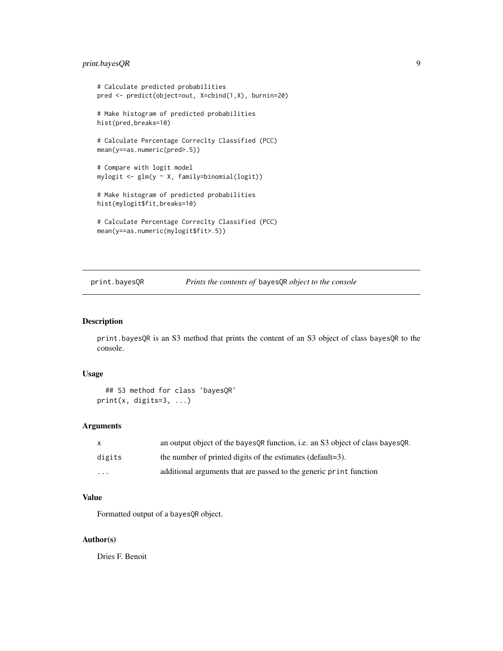## <span id="page-8-0"></span>print.bayesQR 9

```
# Calculate predicted probabilities
pred <- predict(object=out, X=cbind(1,X), burnin=20)
# Make histogram of predicted probabilities
hist(pred,breaks=10)
# Calculate Percentage Correclty Classified (PCC)
mean(y==as.numeric(pred>.5))
# Compare with logit model
mylogit <- glm(y ~ X, family=binomial(logit))
# Make histogram of predicted probabilities
hist(mylogit$fit,breaks=10)
# Calculate Percentage Correclty Classified (PCC)
mean(y==as.numeric(mylogit$fit>.5))
```
## print.bayesQR *Prints the contents of* bayesQR *object to the console*

#### Description

print.bayesQR is an S3 method that prints the content of an S3 object of class bayesQR to the console.

#### Usage

```
## S3 method for class 'bayesQR'
print(x, digits=3, ...)
```
## Arguments

| X        | an output object of the bayes OR function, i.e. an S3 object of class bayes OR. |
|----------|---------------------------------------------------------------------------------|
| digits   | the number of printed digits of the estimates (default=3).                      |
| $\cdots$ | additional arguments that are passed to the generic print function              |

## Value

Formatted output of a bayesQR object.

#### Author(s)

Dries F. Benoit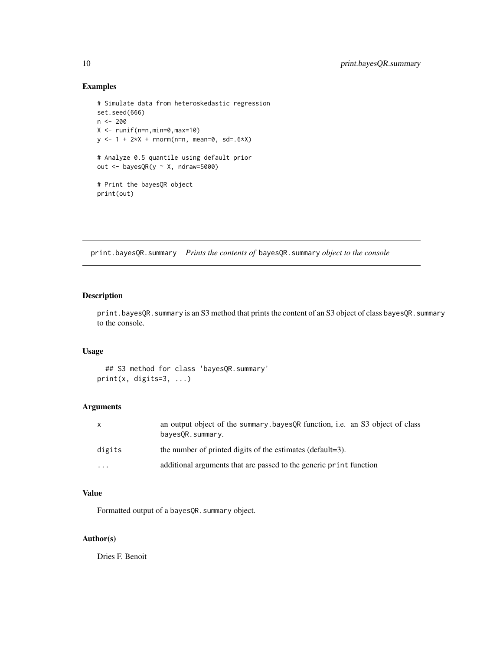## Examples

```
# Simulate data from heteroskedastic regression
set.seed(666)
n <- 200
X \leftarrow runif(n=n,min=0,max=10)y <- 1 + 2*X + rnorm(n=n, mean=0, sd=.6*X)
# Analyze 0.5 quantile using default prior
out \leq bayesQR(y \sim X, ndraw=5000)
# Print the bayesQR object
print(out)
```
print.bayesQR.summary *Prints the contents of* bayesQR.summary *object to the console*

## Description

print.bayesQR.summary is an S3 method that prints the content of an S3 object of class bayesQR.summary to the console.

## Usage

```
## S3 method for class 'bayesQR.summary'
print(x, digits=3, ...)
```
## Arguments

| $\mathsf{x}$ | an output object of the summary bayes QR function, i.e. an S3 object of class<br>bayes OR. summary. |
|--------------|-----------------------------------------------------------------------------------------------------|
| digits       | the number of printed digits of the estimates (default=3).                                          |
| $\cdots$     | additional arguments that are passed to the generic print function                                  |

## Value

Formatted output of a bayesQR.summary object.

## Author(s)

Dries F. Benoit

<span id="page-9-0"></span>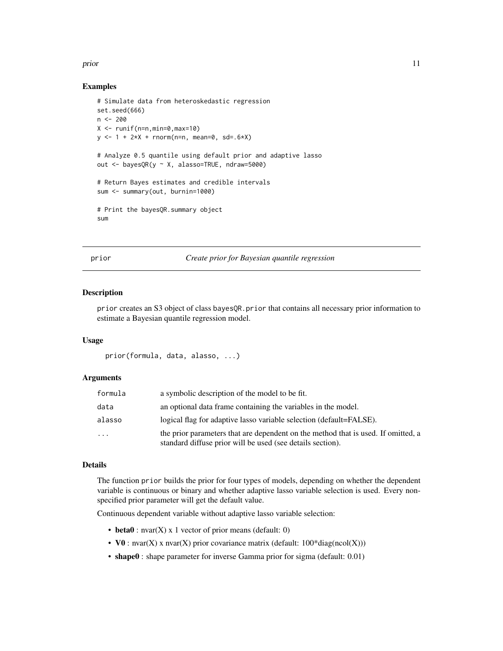#### <span id="page-10-0"></span>prior that the contract of the contract of the contract of the contract of the contract of the contract of the contract of the contract of the contract of the contract of the contract of the contract of the contract of the

#### Examples

```
# Simulate data from heteroskedastic regression
set.seed(666)
n < -200X \leq -\text{runif}(n=n,\text{min=0},\text{max=10})y \le -1 + 2 \times X + \text{norm}(n=n, \text{mean=0, sd=}.6 \times X)# Analyze 0.5 quantile using default prior and adaptive lasso
out <- bayesQR(y ~ X, alasso=TRUE, ndraw=5000)
# Return Bayes estimates and credible intervals
sum <- summary(out, burnin=1000)
# Print the bayesQR.summary object
sum
```
<span id="page-10-1"></span>prior *Create prior for Bayesian quantile regression*

#### Description

prior creates an S3 object of class bayesQR.prior that contains all necessary prior information to estimate a Bayesian quantile regression model.

#### Usage

prior(formula, data, alasso, ...)

#### **Arguments**

| formula | a symbolic description of the model to be fit.                                                                                                  |
|---------|-------------------------------------------------------------------------------------------------------------------------------------------------|
| data    | an optional data frame containing the variables in the model.                                                                                   |
| alasso  | logical flag for adaptive lasso variable selection (default=FALSE).                                                                             |
| .       | the prior parameters that are dependent on the method that is used. If omitted, a<br>standard diffuse prior will be used (see details section). |

#### Details

The function prior builds the prior for four types of models, depending on whether the dependent variable is continuous or binary and whether adaptive lasso variable selection is used. Every nonspecified prior parameter will get the default value.

Continuous dependent variable without adaptive lasso variable selection:

- beta $0:$  nvar $(X)$  x 1 vector of prior means (default: 0)
- V0 : nvar(X) x nvar(X) prior covariance matrix (default:  $100^*$ diag(ncol(X)))
- shape0 : shape parameter for inverse Gamma prior for sigma (default: 0.01)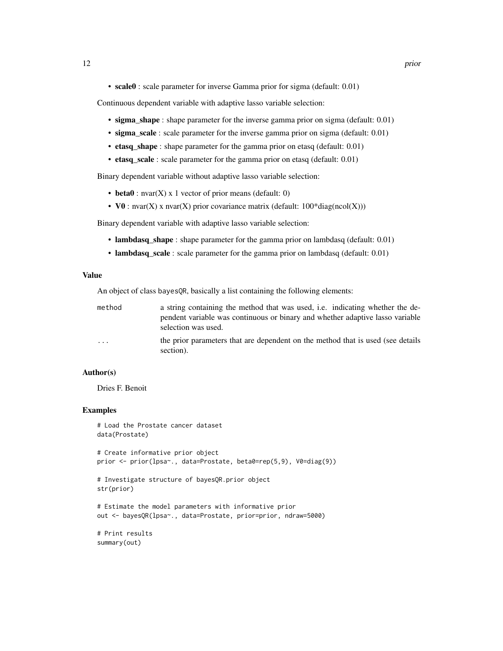• scale0 : scale parameter for inverse Gamma prior for sigma (default: 0.01)

Continuous dependent variable with adaptive lasso variable selection:

- sigma\_shape : shape parameter for the inverse gamma prior on sigma (default: 0.01)
- sigma\_scale : scale parameter for the inverse gamma prior on sigma (default: 0.01)
- etasq\_shape : shape parameter for the gamma prior on etasq (default: 0.01)
- etasq\_scale : scale parameter for the gamma prior on etasq (default: 0.01)

Binary dependent variable without adaptive lasso variable selection:

- beta $0:$  nvar $(X)$  x 1 vector of prior means (default: 0)
- V0 : nvar(X) x nvar(X) prior covariance matrix (default:  $100^*$ diag(ncol(X)))

Binary dependent variable with adaptive lasso variable selection:

- lambdasq\_shape : shape parameter for the gamma prior on lambdasq (default: 0.01)
- lambdasq\_scale : scale parameter for the gamma prior on lambdasq (default: 0.01)

#### Value

An object of class bayesQR, basically a list containing the following elements:

| method  | a string containing the method that was used, i.e. indicating whether the de-<br>pendent variable was continuous or binary and whether adaptive lasso variable<br>selection was used. |
|---------|---------------------------------------------------------------------------------------------------------------------------------------------------------------------------------------|
| $\cdot$ | the prior parameters that are dependent on the method that is used (see details)<br>section).                                                                                         |

#### Author(s)

Dries F. Benoit

#### Examples

```
# Load the Prostate cancer dataset
data(Prostate)
# Create informative prior object
prior <- prior(lpsa~., data=Prostate, beta0=rep(5,9), V0=diag(9))
# Investigate structure of bayesQR.prior object
str(prior)
# Estimate the model parameters with informative prior
out <- bayesQR(lpsa~., data=Prostate, prior=prior, ndraw=5000)
# Print results
summary(out)
```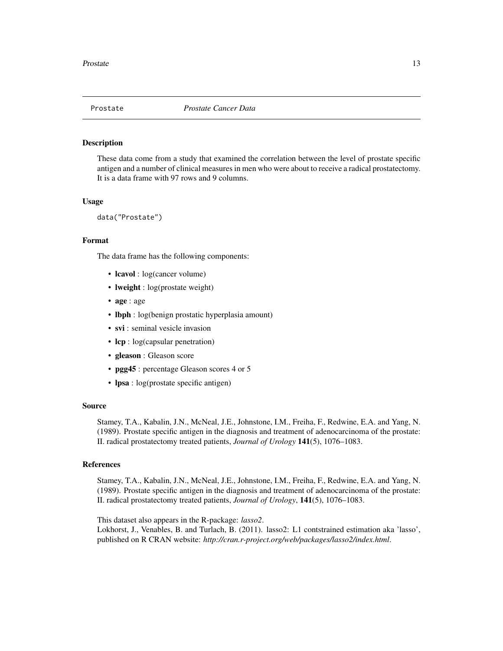<span id="page-12-0"></span>

These data come from a study that examined the correlation between the level of prostate specific antigen and a number of clinical measures in men who were about to receive a radical prostatectomy. It is a data frame with 97 rows and 9 columns.

#### Usage

data("Prostate")

#### Format

The data frame has the following components:

- lcavol : log(cancer volume)
- **lweight** : log(prostate weight)
- age : age
- lbph : log(benign prostatic hyperplasia amount)
- svi : seminal vesicle invasion
- lcp : log(capsular penetration)
- gleason : Gleason score
- pgg45 : percentage Gleason scores 4 or 5
- lpsa : log(prostate specific antigen)

#### Source

Stamey, T.A., Kabalin, J.N., McNeal, J.E., Johnstone, I.M., Freiha, F., Redwine, E.A. and Yang, N. (1989). Prostate specific antigen in the diagnosis and treatment of adenocarcinoma of the prostate: II. radical prostatectomy treated patients, *Journal of Urology* 141(5), 1076–1083.

#### References

Stamey, T.A., Kabalin, J.N., McNeal, J.E., Johnstone, I.M., Freiha, F., Redwine, E.A. and Yang, N. (1989). Prostate specific antigen in the diagnosis and treatment of adenocarcinoma of the prostate: II. radical prostatectomy treated patients, *Journal of Urology*, 141(5), 1076–1083.

This dataset also appears in the R-package: *lasso2*.

Lokhorst, J., Venables, B. and Turlach, B. (2011). lasso2: L1 contstrained estimation aka 'lasso', published on R CRAN website: *http://cran.r-project.org/web/packages/lasso2/index.html*.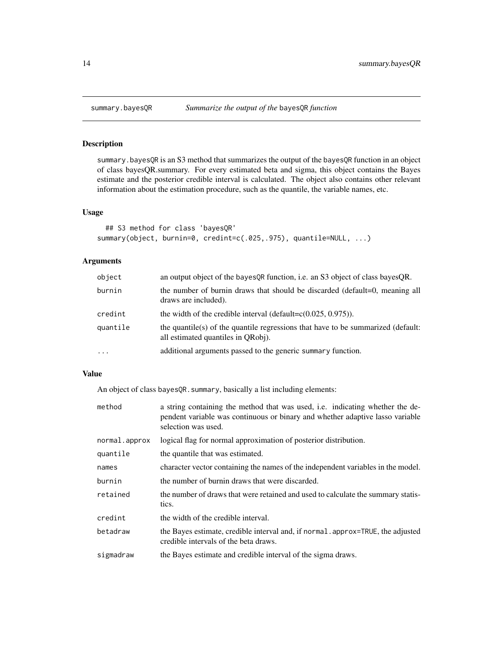<span id="page-13-0"></span>

summary.bayesQR is an S3 method that summarizes the output of the bayesQR function in an object of class bayesQR.summary. For every estimated beta and sigma, this object contains the Bayes estimate and the posterior credible interval is calculated. The object also contains other relevant information about the estimation procedure, such as the quantile, the variable names, etc.

## Usage

```
## S3 method for class 'bayesQR'
summary(object, burnin=0, credint=c(.025,.975), quantile=NULL, ...)
```
## Arguments

| object   | an output object of the bayes QR function, i.e. an S3 object of class bayes QR.                                        |
|----------|------------------------------------------------------------------------------------------------------------------------|
| burnin   | the number of burnin draws that should be discarded (default=0, meaning all<br>draws are included).                    |
| credint  | the width of the credible interval (default= $c(0.025, 0.975)$ ).                                                      |
| quantile | the quantile(s) of the quantile regressions that have to be summarized (default:<br>all estimated quantiles in QRobj). |
| $\cdots$ | additional arguments passed to the generic summary function.                                                           |

## Value

An object of class bayesQR. summary, basically a list including elements:

| method        | a string containing the method that was used, i.e. indicating whether the de-<br>pendent variable was continuous or binary and whether adaptive lasso variable<br>selection was used. |
|---------------|---------------------------------------------------------------------------------------------------------------------------------------------------------------------------------------|
| normal.approx | logical flag for normal approximation of posterior distribution.                                                                                                                      |
| quantile      | the quantile that was estimated.                                                                                                                                                      |
| names         | character vector containing the names of the independent variables in the model.                                                                                                      |
| burnin        | the number of burnin draws that were discarded.                                                                                                                                       |
| retained      | the number of draws that were retained and used to calculate the summary statis-<br>tics.                                                                                             |
| credint       | the width of the credible interval.                                                                                                                                                   |
| betadraw      | the Bayes estimate, credible interval and, if normal approx=TRUE, the adjusted<br>credible intervals of the beta draws.                                                               |
| sigmadraw     | the Bayes estimate and credible interval of the sigma draws.                                                                                                                          |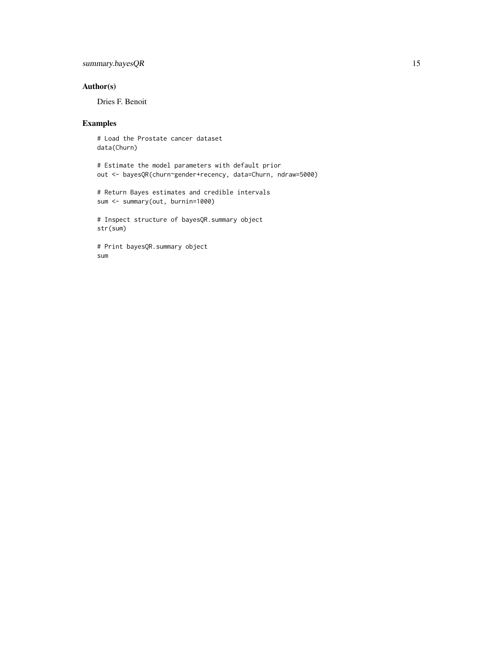## summary.bayesQR 15

## Author(s)

Dries F. Benoit

## Examples

# Load the Prostate cancer dataset data(Churn)

# Estimate the model parameters with default prior out <- bayesQR(churn~gender+recency, data=Churn, ndraw=5000)

# Return Bayes estimates and credible intervals sum <- summary(out, burnin=1000)

# Inspect structure of bayesQR.summary object str(sum)

# Print bayesQR.summary object sum